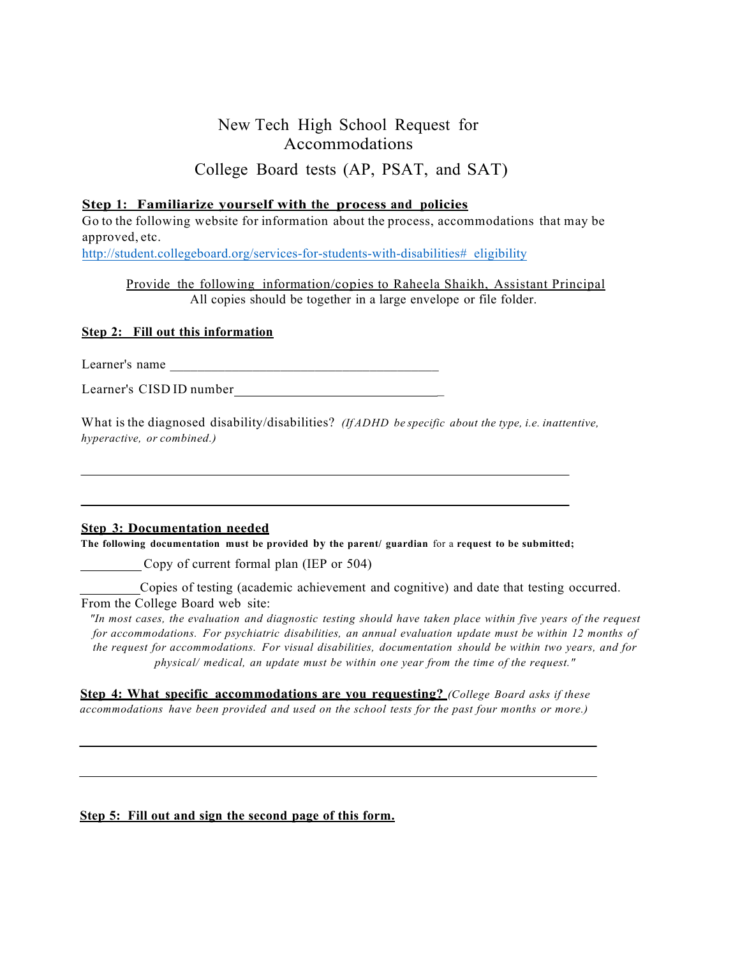### New Tech High School Request for Accommodations

College Board tests (AP, PSAT, and SAT)

### **Step 1: Familiarize yourself with the process and policies**

Go to the following website for information about the process, accommodations that may be approved, etc.

http://student.collegeboard.org/services-for-students-with-disabilities# eligibility

Provide the following information/copies to Raheela Shaikh, Assistant Principal All copies should be together in a large envelope or file folder.

### **Step 2: Fill out this information**

Learner's name

Learner's CISD ID number \_

What is the diagnosed disability/disabilities? *(If ADHD be specific about the type, i.e. inattentive, hyperactive, or combined.)*

#### **Step 3: Documentation needed**

**The following documentation must be provided by the parent/ guardian** for a **request to be submitted;**

Copy of current formal plan (IEP or 504)

Copies of testing (academic achievement and cognitive) and date that testing occurred. From the College Board web site:

"In most cases, the evaluation and diagnostic testing should have taken place within five years of the request *for accommodations. For psychiatric disabilities, an annual evaluation update must be within 12 months of the request for accommodations. For visual disabilities, documentation should be within two years, and for physical/ medical, an update must be within one year from the time of the request."*

**Step 4: What specific accommodations are you requesting?** *(College Board asks if these accommodations have been provided and used on the school tests for the past four months or more.)*

### **Step 5: Fill out and sign the second page of this form.**